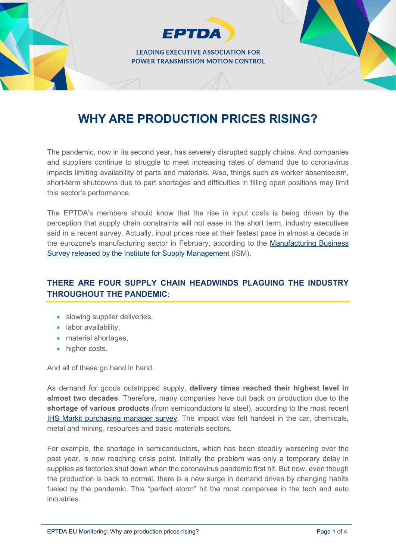

# **WHY ARE PRODUCTION PRICES RISING?**

The pandemic, now in its second year, has severely disrupted supply chains. And companies and suppliers continue to struggle to meet increasing rates of demand due to coronavirus impacts limiting availability of parts and materials. Also, things such as worker absenteeism, short-term shutdowns due to part shortages and difficulties in filling open positions may limit this sector's performance.

The EPTDA's members should know that the rise in input costs is being driven by the perception that supply chain constraints will not ease in the short term, industry executives said in a recent survey. Actually, input prices rose at their fastest pace in almost a decade in the eurozone's manufacturing sector in February, according to the [Manufacturing Business](https://www.ismworld.org/supply-management-news-and-reports/reports/ism-report-on-business/pmi/april/)  [Survey released by the Institute for Supply Management](https://www.ismworld.org/supply-management-news-and-reports/reports/ism-report-on-business/pmi/april/) (ISM).

## **THERE ARE FOUR SUPPLY CHAIN HEADWINDS PLAGUING THE INDUSTRY THROUGHOUT THE PANDEMIC:**

- slowing supplier deliveries.
- labor availability,
- material shortages,
- higher costs.

And all of these go hand in hand.

As demand for goods outstripped supply, **delivery times reached their highest level in almost two decades**. Therefore, many companies have cut back on production due to the **shortage of various products** (from semiconductors to steel), according to the most recent [IHS Markit purchasing manager survey.](https://ihsmarkit.com/products/pmi.html) The impact was felt hardest in the car, chemicals, metal and mining, resources and basic materials sectors.

For example, the shortage in semiconductors, which has been steadily worsening over the past year, is now reaching crisis point. Initially the problem was only a temporary delay in supplies as factories shut down when the coronavirus pandemic first hit. But now, even though the production is back to normal, there is a new surge in demand driven by changing habits fueled by the pandemic. This "perfect storm" hit the most companies in the tech and auto **industries**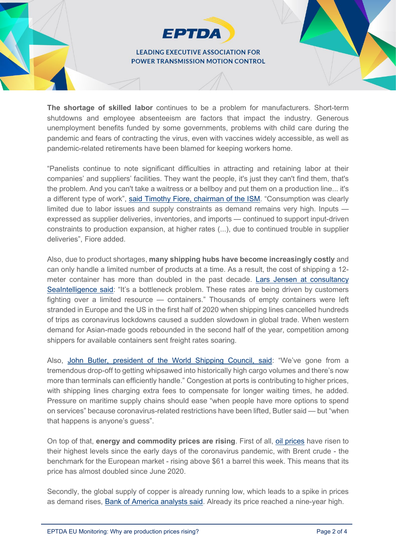#### **LEADING EXECUTIVE ASSOCIATION FOR POWER TRANSMISSION MOTION CONTROL**

**EPTDA** 

**The shortage of skilled labor** continues to be a problem for manufacturers. Short-term shutdowns and employee absenteeism are factors that impact the industry. Generous unemployment benefits funded by some governments, problems with child care during the pandemic and fears of contracting the virus, even with vaccines widely accessible, as well as pandemic-related retirements have been blamed for keeping workers home.

"Panelists continue to note significant difficulties in attracting and retaining labor at their companies' and suppliers' facilities. They want the people, it's just they can't find them, that's the problem. And you can't take a waitress or a bellboy and put them on a production line... it's a different type of work", [said Timothy Fiore, chairman of the ISM.](https://www.machinedesign.com/news/article/21165818/pmi-rises-in-may-but-so-do-labor-supply-chain-issues) "Consumption was clearly limited due to labor issues and supply constraints as demand remains very high. Inputs expressed as supplier deliveries, inventories, and imports — continued to support input-driven constraints to production expansion, at higher rates (...), due to continued trouble in supplier deliveries", Fiore added.

Also, due to product shortages, **many shipping hubs have become increasingly costly** and can only handle a limited number of products at a time. As a result, the cost of shipping a 12 meter container has more than doubled in the past decade. [Lars Jensen at consultancy](https://www.joc.com/maritime-news/container-lines/another-spike-eastbound-trans-pac-freight-rates-likely_20210526.html)  [SeaIntelligence said:](https://www.joc.com/maritime-news/container-lines/another-spike-eastbound-trans-pac-freight-rates-likely_20210526.html) "It's a bottleneck problem. These rates are being driven by customers fighting over a limited resource — containers." Thousands of empty containers were left stranded in Europe and the US in the first half of 2020 when shipping lines cancelled hundreds of trips as coronavirus lockdowns caused a sudden slowdown in global trade. When western demand for Asian-made goods rebounded in the second half of the year, competition among shippers for available containers sent freight rates soaring.

Also, [John Butler, president of the World Shipping Council, said:](https://www.ft.com/content/ad5e1a80-cecf-4b18-9035-ee50be9adfc6) "We've gone from a tremendous drop-off to getting whipsawed into historically high cargo volumes and there's now more than terminals can efficiently handle." Congestion at ports is contributing to higher prices, with shipping lines charging extra fees to compensate for longer waiting times, he added. Pressure on maritime supply chains should ease "when people have more options to spend on services" because coronavirus-related restrictions have been lifted, Butler said — but "when that happens is anyone's guess".

On top of that, **energy and commodity prices are rising**. First of all, [oil prices](https://oilprice.com/oil-price-charts/) have risen to their highest levels since the early days of the coronavirus pandemic, with Brent crude - the benchmark for the European market - rising above \$61 a barrel this week. This means that its price has almost doubled since June 2020.

Secondly, the global supply of copper is already running low, which leads to a spike in prices as demand rises, [Bank of America analysts said.](https://www.marketwatch.com/story/the-world-risks-running-out-of-copper-and-heres-how-high-prices-may-rise-as-the-economy-reopens-bofa-warns-11620073503) Already its price reached a nine-year high.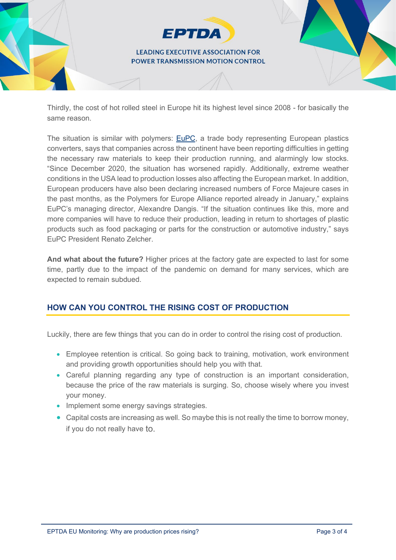

Thirdly, the cost of hot rolled steel in Europe hit its highest level since 2008 - for basically the same reason.

The situation is similar with polymers: [EuPC,](https://packagingeurope.com/raw-material-shortages-in-europe-impacting-production-of-plastic-products/) a trade body representing European plastics converters, says that companies across the continent have been reporting difficulties in getting the necessary raw materials to keep their production running, and alarmingly low stocks. "Since December 2020, the situation has worsened rapidly. Additionally, extreme weather conditions in the USA lead to production losses also affecting the European market. In addition, European producers have also been declaring increased numbers of Force Majeure cases in the past months, as the Polymers for Europe Alliance reported already in January," explains EuPC's managing director, Alexandre Dangis. "If the situation continues like this, more and more companies will have to reduce their production, leading in return to shortages of plastic products such as food packaging or parts for the construction or automotive industry," says EuPC President Renato Zelcher.

**And what about the future?** Higher prices at the factory gate are expected to last for some time, partly due to the impact of the pandemic on demand for many services, which are expected to remain subdued.

## **HOW CAN YOU CONTROL THE RISING COST OF PRODUCTION**

Luckily, there are few things that you can do in order to control the rising cost of production.

- Employee retention is critical. So going back to training, motivation, work environment and providing growth opportunities should help you with that.
- Careful planning regarding any type of construction is an important consideration, because the price of the raw materials is surging. So, choose wisely where you invest your money.
- Implement some energy savings strategies.
- Capital costs are increasing as well. So maybe this is not really the time to borrow money, if you do not really have to.